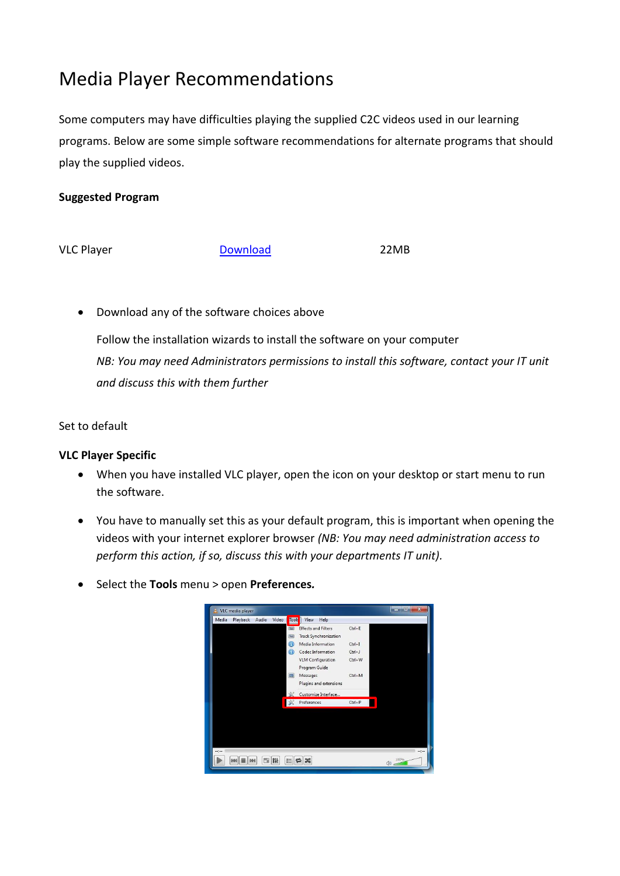## Media Player Recommendations

Some computers may have difficulties playing the supplied C2C videos used in our learning programs. Below are some simple software recommendations for alternate programs that should play the supplied videos.

## **Suggested Program**

VLC Player **[Download](http://www.videolan.org/vlc/index.html)** 22MB

Download any of the software choices above

Follow the installation wizards to install the software on your computer *NB: You may need Administrators permissions to install this software, contact your IT unit and discuss this with them further*

Set to default

## **VLC Player Specific**

- When you have installed VLC player, open the icon on your desktop or start menu to run the software.
- You have to manually set this as your default program, this is important when opening the videos with your internet explorer browser *(NB: You may need administration access to perform this action, if so, discuss this with your departments IT unit).*
- Select the **Tools** menu > open **Preferences***.*